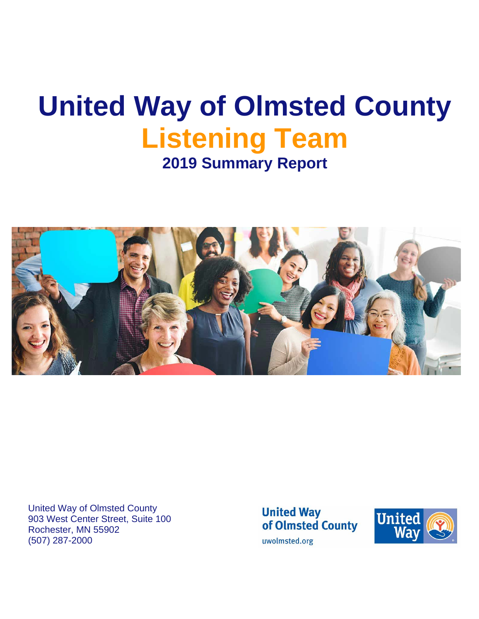# **United Way of Olmsted County Listening Team 2019 Summary Report**



United Way of Olmsted County 903 West Center Street, Suite 100 Rochester, MN 55902 (507) 287-2000

**United Way** of Olmsted County uwolmsted.org

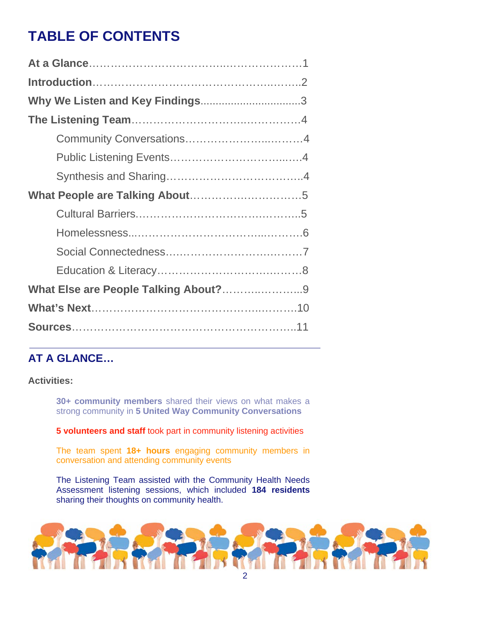## **TABLE OF CONTENTS**

| What Else are People Talking About?9 |
|--------------------------------------|
|                                      |
|                                      |

## **AT A GLANCE…**

**Activities:** 

**30+ community members** shared their views on what makes a strong community in **5 United Way Community Conversations**

**5 volunteers and staff** took part in community listening activities

The team spent **18+ hours** engaging community members in conversation and attending community events

The Listening Team assisted with the Community Health Needs Assessment listening sessions, which included **184 residents** sharing their thoughts on community health.

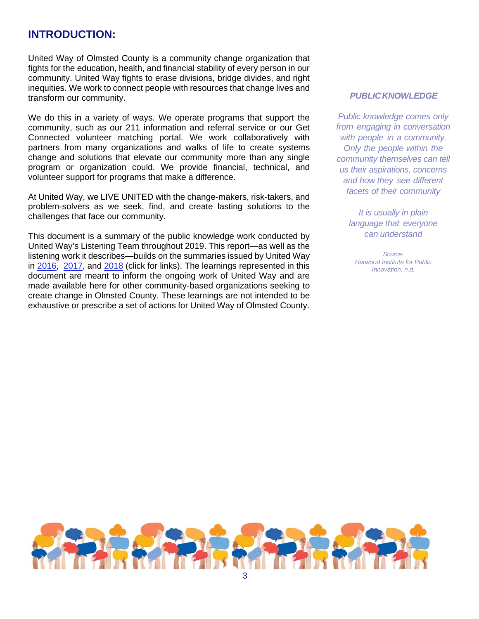### **INTRODUCTION:**

United Way of Olmsted County is a community change organization that fights for the education, health, and financial stability of every person in our community. United Way fights to erase divisions, bridge divides, and right inequities. We work to connect people with resources that change lives and transform our community.

We do this in a variety of ways. We operate programs that support the community, such as our 211 information and referral service or our Get Connected volunteer matching portal. We work collaboratively with partners from many organizations and walks of life to create systems change and solutions that elevate our community more than any single program or organization could. We provide financial, technical, and volunteer support for programs that make a difference.

At United Way, we LIVE UNITED with the change-makers, risk-takers, and problem-solvers as we seek, find, and create lasting solutions to the challenges that face our community.

This document is a summary of the public knowledge work conducted by United Way's Listening Team throughout 2019. This report—as well as the listening work it describes—builds on the summaries issued by United Way in [2016,](https://www.uwolmsted.org/sites/uwolmsted.org/files/Community%20Conversations%20Summary.pdf) [2017,](https://www.uwolmsted.org/sites/uwolmsted.org/files/2017-ListeningTeamSummary_0.pdf) and [2018](https://www.uwolmsted.org/sites/uwolmsted.org/files/2018%20Summary%20Report%20FINAL.pdf) (click for links). The learnings represented in this document are meant to inform the ongoing work of United Way and are made available here for other community-based organizations seeking to create change in Olmsted County. These learnings are not intended to be exhaustive or prescribe a set of actions for United Way of Olmsted County.

#### *PUBLICKNOWLEDGE*

*Public knowledge comes only from engaging in conversation with people in a community. Only the people within the community themselves can tell us their aspirations, concerns and how they see different facets of their community*

*It is usually in plain language that everyone can understand*

*Source: Harwood Institute for Public Innovation, n.d.*

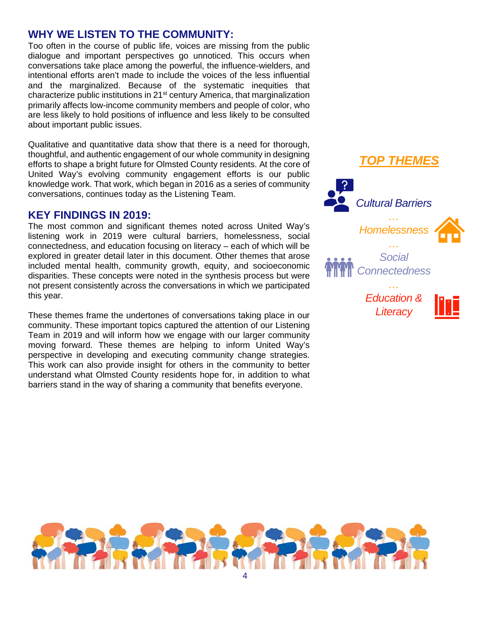### **WHY WE LISTEN TO THE COMMUNITY:**

Too often in the course of public life, voices are missing from the public dialogue and important perspectives go unnoticed. This occurs when conversations take place among the powerful, the influence-wielders, and intentional efforts aren't made to include the voices of the less influential and the marginalized. Because of the systematic inequities that characterize public institutions in 21st century America, that marginalization primarily affects low-income community members and people of color, who are less likely to hold positions of influence and less likely to be consulted about important public issues.

Qualitative and quantitative data show that there is a need for thorough, thoughtful, and authentic engagement of our whole community in designing efforts to shape a bright future for Olmsted County residents. At the core of United Way's evolving community engagement efforts is our public knowledge work. That work, which began in 2016 as a series of community conversations, continues today as the Listening Team.

#### **KEY FINDINGS IN 2019:**

The most common and significant themes noted across United Way's listening work in 2019 were cultural barriers, homelessness, social connectedness, and education focusing on literacy – each of which will be explored in greater detail later in this document. Other themes that arose included mental health, community growth, equity, and socioeconomic disparities. These concepts were noted in the synthesis process but were not present consistently across the conversations in which we participated this year.

These themes frame the undertones of conversations taking place in our community. These important topics captured the attention of our Listening Team in 2019 and will inform how we engage with our larger community moving forward. These themes are helping to inform United Way's perspective in developing and executing community change strategies. This work can also provide insight for others in the community to better understand what Olmsted County residents hope for, in addition to what barriers stand in the way of sharing a community that benefits everyone.



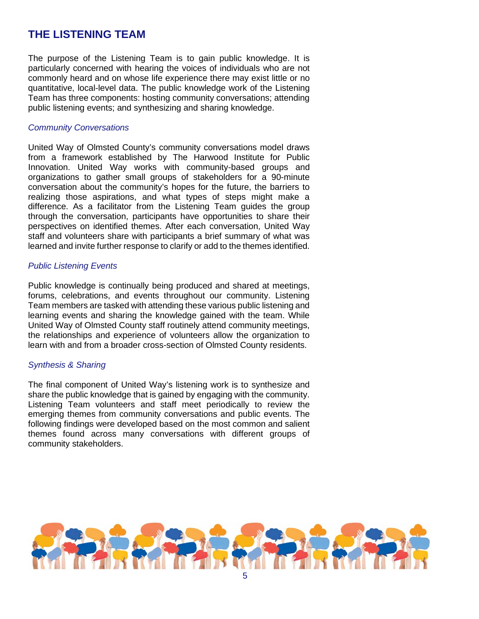## **THE LISTENING TEAM**

The purpose of the Listening Team is to gain public knowledge. It is particularly concerned with hearing the voices of individuals who are not commonly heard and on whose life experience there may exist little or no quantitative, local-level data. The public knowledge work of the Listening Team has three components: hosting community conversations; attending public listening events; and synthesizing and sharing knowledge.

#### *Community Conversations*

United Way of Olmsted County's community conversations model draws from a framework established by The Harwood Institute for Public Innovation. United Way works with community-based groups and organizations to gather small groups of stakeholders for a 90-minute conversation about the community's hopes for the future, the barriers to realizing those aspirations, and what types of steps might make a difference. As a facilitator from the Listening Team guides the group through the conversation, participants have opportunities to share their perspectives on identified themes. After each conversation, United Way staff and volunteers share with participants a brief summary of what was learned and invite further response to clarify or add to the themes identified.

#### *Public Listening Events*

Public knowledge is continually being produced and shared at meetings, forums, celebrations, and events throughout our community. Listening Team members are tasked with attending these various public listening and learning events and sharing the knowledge gained with the team. While United Way of Olmsted County staff routinely attend community meetings, the relationships and experience of volunteers allow the organization to learn with and from a broader cross-section of Olmsted County residents.

#### *Synthesis & Sharing*

The final component of United Way's listening work is to synthesize and share the public knowledge that is gained by engaging with the community. Listening Team volunteers and staff meet periodically to review the emerging themes from community conversations and public events. The following findings were developed based on the most common and salient themes found across many conversations with different groups of community stakeholders.

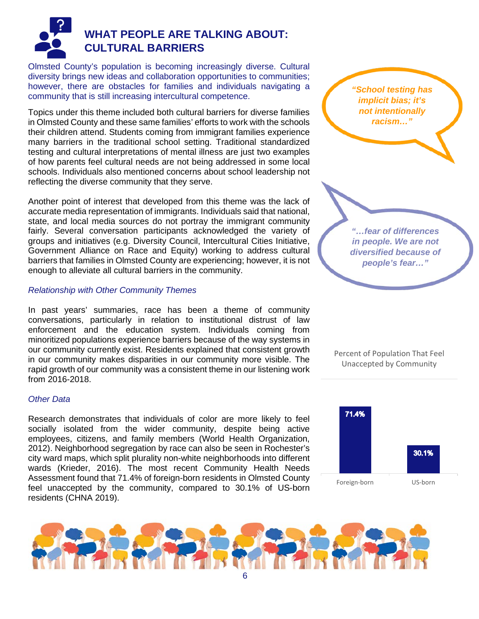

## **WHAT PEOPLE ARE TALKING ABOUT: CULTURAL BARRIERS**

Olmsted County's population is becoming increasingly diverse. Cultural diversity brings new ideas and collaboration opportunities to communities; however, there are obstacles for families and individuals navigating a community that is still increasing intercultural competence.

Topics under this theme included both cultural barriers for diverse families in Olmsted County and these same families' efforts to work with the schools their children attend. Students coming from immigrant families experience many barriers in the traditional school setting. Traditional standardized testing and cultural interpretations of mental illness are just two examples of how parents feel cultural needs are not being addressed in some local schools. Individuals also mentioned concerns about school leadership not reflecting the diverse community that they serve.

Another point of interest that developed from this theme was the lack of accurate media representation of immigrants. Individuals said that national, state, and local media sources do not portray the immigrant community fairly. Several conversation participants acknowledged the variety of groups and initiatives (e.g. Diversity Council, Intercultural Cities Initiative, Government Alliance on Race and Equity) working to address cultural barriers that families in Olmsted County are experiencing; however, it is not enough to alleviate all cultural barriers in the community.

#### *Relationship with Other Community Themes*

In past years' summaries, race has been a theme of community conversations, particularly in relation to institutional distrust of law enforcement and the education system. Individuals coming from minoritized populations experience barriers because of the way systems in our community currently exist. Residents explained that consistent growth in our community makes disparities in our community more visible. The rapid growth of our community was a consistent theme in our listening work from 2016-2018.

#### *Other Data*

Research demonstrates that individuals of color are more likely to feel socially isolated from the wider community, despite being active employees, citizens, and family members (World Health Organization, 2012). Neighborhood segregation by race can also be seen in Rochester's city ward maps, which split plurality non-white neighborhoods into different wards (Krieder, 2016). The most recent Community Health Needs Assessment found that 71.4% of foreign-born residents in Olmsted County feel unaccepted by the community, compared to 30.1% of US-born residents (CHNA 2019).



Percent of Population That Feel Unaccepted by Community



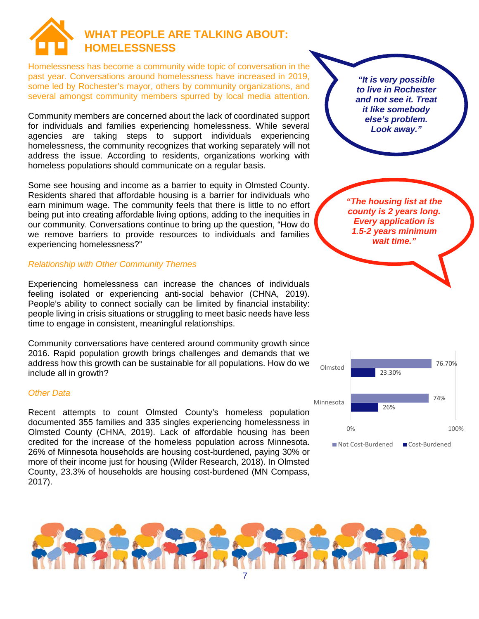

Homelessness has become a community wide topic of conversation in the past year. Conversations around homelessness have increased in 2019, some led by Rochester's mayor, others by community organizations, and several amongst community members spurred by local media attention.

Community members are concerned about the lack of coordinated support for individuals and families experiencing homelessness. While several agencies are taking steps to support individuals experiencing homelessness, the community recognizes that working separately will not address the issue. According to residents, organizations working with homeless populations should communicate on a regular basis.

Some see housing and income as a barrier to equity in Olmsted County. Residents shared that affordable housing is a barrier for individuals who earn minimum wage. The community feels that there is little to no effort being put into creating affordable living options, adding to the inequities in our community. Conversations continue to bring up the question, "How do we remove barriers to provide resources to individuals and families experiencing homelessness?"

#### *Relationship with Other Community Themes*

Experiencing homelessness can increase the chances of individuals feeling isolated or experiencing anti-social behavior (CHNA, 2019). People's ability to connect socially can be limited by financial instability: people living in crisis situations or struggling to meet basic needs have less time to engage in consistent, meaningful relationships.

Community conversations have centered around community growth since 2016. Rapid population growth brings challenges and demands that we address how this growth can be sustainable for all populations. How do we include all in growth?

#### *Other Data*

Recent attempts to count Olmsted County's homeless population documented 355 families and 335 singles experiencing homelessness in Olmsted County (CHNA, 2019). Lack of affordable housing has been credited for the increase of the homeless population across Minnesota. 26% of Minnesota households are housing cost-burdened, paying 30% or more of their income just for housing (Wilder Research, 2018). In Olmsted County, 23.3% of households are housing cost-burdened (MN Compass, 2017).

*"It is very possible to live in Rochester and not see it. Treat it like somebody else's problem. Look away."*

*"The housing list at the county is 2 years long. Every application is 1.5-2 years minimum wait time."*



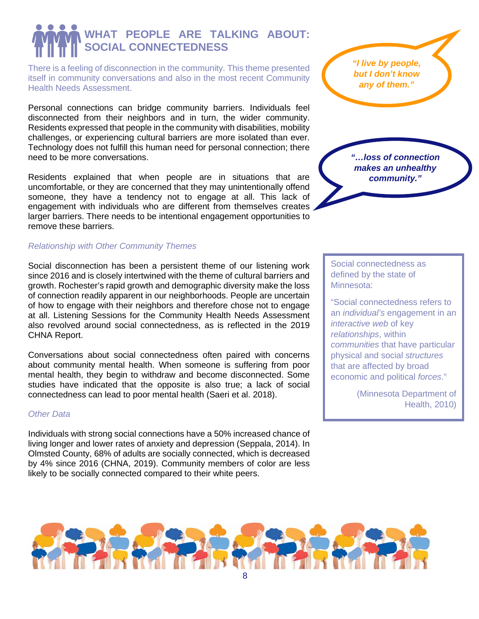## **WHAT PEOPLE ARE TALKING ABOUT: SOCIAL CONNECTEDNESS**

There is a feeling of disconnection in the community. This theme presented itself in community conversations and also in the most recent Community Health Needs Assessment.

Personal connections can bridge community barriers. Individuals feel disconnected from their neighbors and in turn, the wider community. Residents expressed that people in the community with disabilities, mobility challenges, or experiencing cultural barriers are more isolated than ever. Technology does not fulfill this human need for personal connection; there need to be more conversations.

Residents explained that when people are in situations that are uncomfortable, or they are concerned that they may unintentionally offend someone, they have a tendency not to engage at all. This lack of engagement with individuals who are different from themselves creates larger barriers. There needs to be intentional engagement opportunities to remove these barriers.

#### *Relationship with Other Community Themes*

Social disconnection has been a persistent theme of our listening work since 2016 and is closely intertwined with the theme of cultural barriers and growth. Rochester's rapid growth and demographic diversity make the loss of connection readily apparent in our neighborhoods. People are uncertain of how to engage with their neighbors and therefore chose not to engage at all. Listening Sessions for the Community Health Needs Assessment also revolved around social connectedness, as is reflected in the 2019 CHNA Report.

Conversations about social connectedness often paired with concerns about community mental health. When someone is suffering from poor mental health, they begin to withdraw and become disconnected. Some studies have indicated that the opposite is also true; a lack of social connectedness can lead to poor mental health (Saeri et al. 2018).

#### *Other Data*

Individuals with strong social connections have a 50% increased chance of living longer and lower rates of anxiety and depression (Seppala, 2014). In Olmsted County, 68% of adults are socially connected, which is decreased by 4% since 2016 (CHNA, 2019). Community members of color are less likely to be socially connected compared to their white peers.

*"I live by people, but I don't know any of them."*

*"…loss of connection makes an unhealthy community."*

Social connectedness as defined by the state of Minnesota:

"Social connectedness refers to an *individual's* engagement in an *interactive web* of key *relationships*, within *communities* that have particular physical and social *structures* that are affected by broad economic and political *forces*."

> (Minnesota Department of Health, 2010)

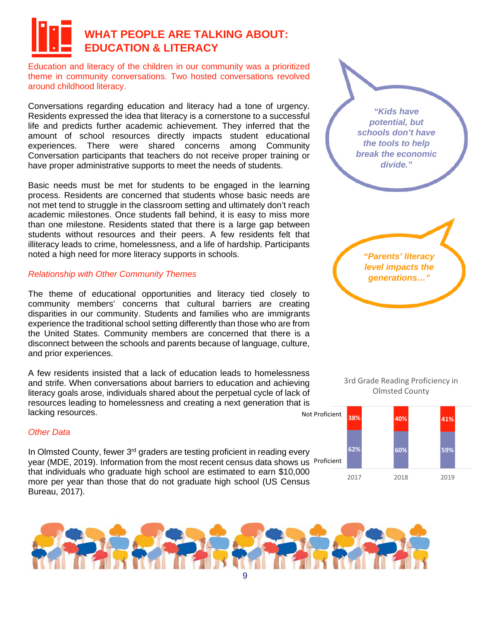## **WHAT PEOPLE ARE TALKING ABOUT: EDUCATION & LITERACY**

Education and literacy of the children in our community was a prioritized theme in community conversations. Two hosted conversations revolved around childhood literacy.

Conversations regarding education and literacy had a tone of urgency. Residents expressed the idea that literacy is a cornerstone to a successful life and predicts further academic achievement. They inferred that the amount of school resources directly impacts student educational experiences. There were shared concerns among Community Conversation participants that teachers do not receive proper training or have proper administrative supports to meet the needs of students.

Basic needs must be met for students to be engaged in the learning process. Residents are concerned that students whose basic needs are not met tend to struggle in the classroom setting and ultimately don't reach academic milestones. Once students fall behind, it is easy to miss more than one milestone. Residents stated that there is a large gap between students without resources and their peers. A few residents felt that illiteracy leads to crime, homelessness, and a life of hardship. Participants noted a high need for more literacy supports in schools.

#### *Relationship with Other Community Themes*

The theme of educational opportunities and literacy tied closely to community members' concerns that cultural barriers are creating disparities in our community. Students and families who are immigrants experience the traditional school setting differently than those who are from the United States. Community members are concerned that there is a disconnect between the schools and parents because of language, culture, and prior experiences.

A few residents insisted that a lack of education leads to homelessness and strife. When conversations about barriers to education and achieving literacy goals arose, individuals shared about the perpetual cycle of lack of resources leading to homelessness and creating a next generation that is lacking resources.

#### *Other Data*

In Olmsted County, fewer 3<sup>rd</sup> graders are testing proficient in reading every year (MDE, 2019). Information from the most recent census data shows us Proficient that individuals who graduate high school are estimated to earn \$10,000 more per year than those that do not graduate high school (US Census Bureau, 2017).



*"Parents' literacy level impacts the generations…"*



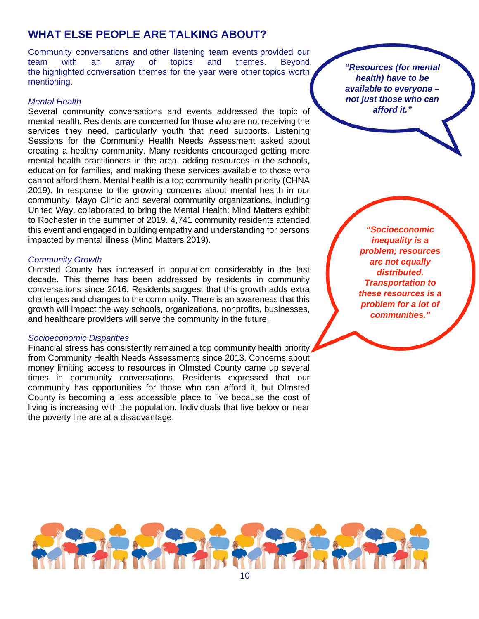## **WHAT ELSE PEOPLE ARE TALKING ABOUT?**

Community conversations and other listening team events provided our team with an array of topics and themes. Beyond the highlighted conversation themes for the year were other topics worth mentioning.

#### *Mental Health*

Several community conversations and events addressed the topic of mental health. Residents are concerned for those who are not receiving the services they need, particularly youth that need supports. Listening Sessions for the Community Health Needs Assessment asked about creating a healthy community. Many residents encouraged getting more mental health practitioners in the area, adding resources in the schools, education for families, and making these services available to those who cannot afford them. Mental health is a top community health priority (CHNA 2019). In response to the growing concerns about mental health in our community, Mayo Clinic and several community organizations, including United Way, collaborated to bring the Mental Health: Mind Matters exhibit to Rochester in the summer of 2019. 4,741 community residents attended this event and engaged in building empathy and understanding for persons impacted by mental illness (Mind Matters 2019).

#### *Community Growth*

Olmsted County has increased in population considerably in the last decade. This theme has been addressed by residents in community conversations since 2016. Residents suggest that this growth adds extra challenges and changes to the community. There is an awareness that this growth will impact the way schools, organizations, nonprofits, businesses, and healthcare providers will serve the community in the future.

#### *Socioeconomic Disparities*

Financial stress has consistently remained a top community health priority from Community Health Needs Assessments since 2013. Concerns about money limiting access to resources in Olmsted County came up several times in community conversations. Residents expressed that our community has opportunities for those who can afford it, but Olmsted County is becoming a less accessible place to live because the cost of living is increasing with the population. Individuals that live below or near the poverty line are at a disadvantage.

*"Resources (for mental health) have to be available to everyone – not just those who can afford it."*

> *"Socioeconomic inequality is a problem; resources are not equally distributed. Transportation to these resources is a problem for a lot of communities."*

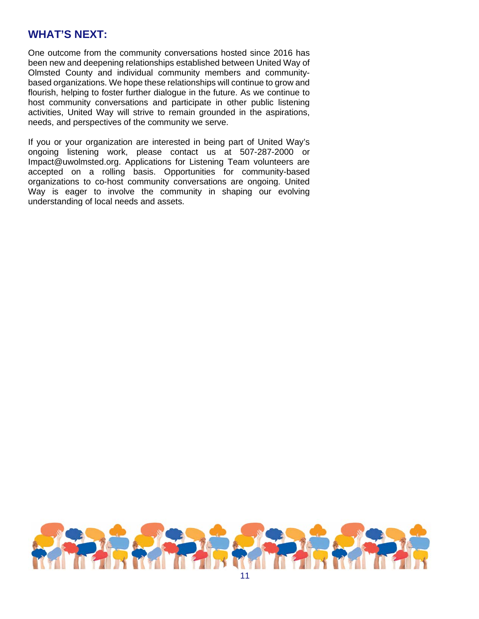## **WHAT'S NEXT:**

One outcome from the community conversations hosted since 2016 has been new and deepening relationships established between United Way of Olmsted County and individual community members and communitybased organizations. We hope these relationships will continue to grow and flourish, helping to foster further dialogue in the future. As we continue to host community conversations and participate in other public listening activities, United Way will strive to remain grounded in the aspirations, needs, and perspectives of the community we serve.

If you or your organization are interested in being part of United Way's ongoing listening work, please contact us at 507-287-2000 or Impact@uwolmsted.org. Applications for Listening Team volunteers are accepted on a rolling basis. Opportunities for community-based organizations to co-host community conversations are ongoing. United Way is eager to involve the community in shaping our evolving understanding of local needs and assets.